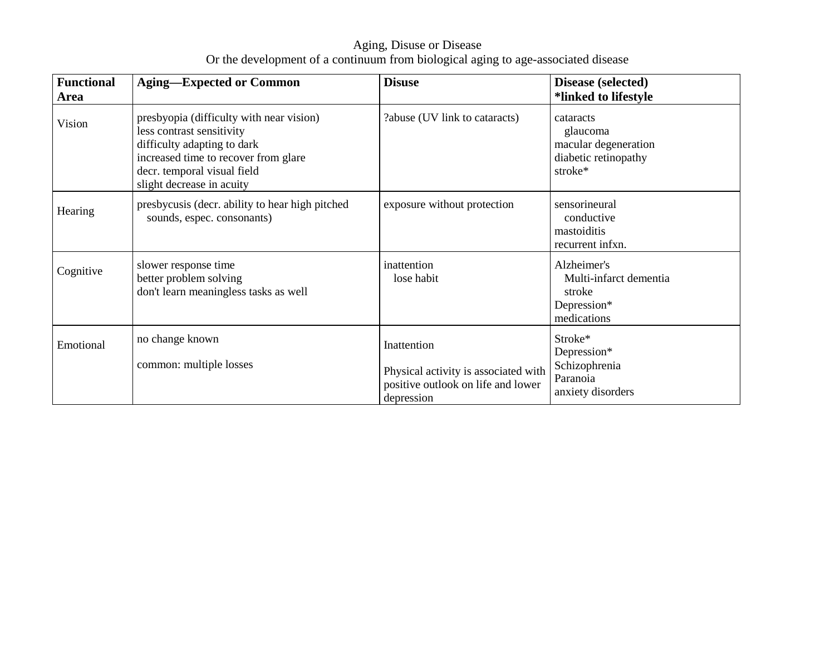Aging, Disuse or Disease<br>Or the development of a continuum from biological aging to age-associated disease

| <b>Functional</b><br>Area | <b>Aging—Expected or Common</b>                                                                                                                                                                          | <b>Disuse</b>                                                                                           | Disease (selected)<br>*linked to lifestyle                                       |
|---------------------------|----------------------------------------------------------------------------------------------------------------------------------------------------------------------------------------------------------|---------------------------------------------------------------------------------------------------------|----------------------------------------------------------------------------------|
| Vision                    | presbyopia (difficulty with near vision)<br>less contrast sensitivity<br>difficulty adapting to dark<br>increased time to recover from glare<br>decr. temporal visual field<br>slight decrease in acuity | ?abuse (UV link to cataracts)                                                                           | cataracts<br>glaucoma<br>macular degeneration<br>diabetic retinopathy<br>stroke* |
| Hearing                   | presbycusis (decr. ability to hear high pitched<br>sounds, espec. consonants)                                                                                                                            | exposure without protection                                                                             | sensorineural<br>conductive<br>mastoiditis<br>recurrent infxn.                   |
| Cognitive                 | slower response time<br>better problem solving<br>don't learn meaningless tasks as well                                                                                                                  | inattention<br>lose habit                                                                               | Alzheimer's<br>Multi-infarct dementia<br>stroke<br>Depression*<br>medications    |
| Emotional                 | no change known<br>common: multiple losses                                                                                                                                                               | Inattention<br>Physical activity is associated with<br>positive outlook on life and lower<br>depression | Stroke*<br>Depression*<br>Schizophrenia<br>Paranoia<br>anxiety disorders         |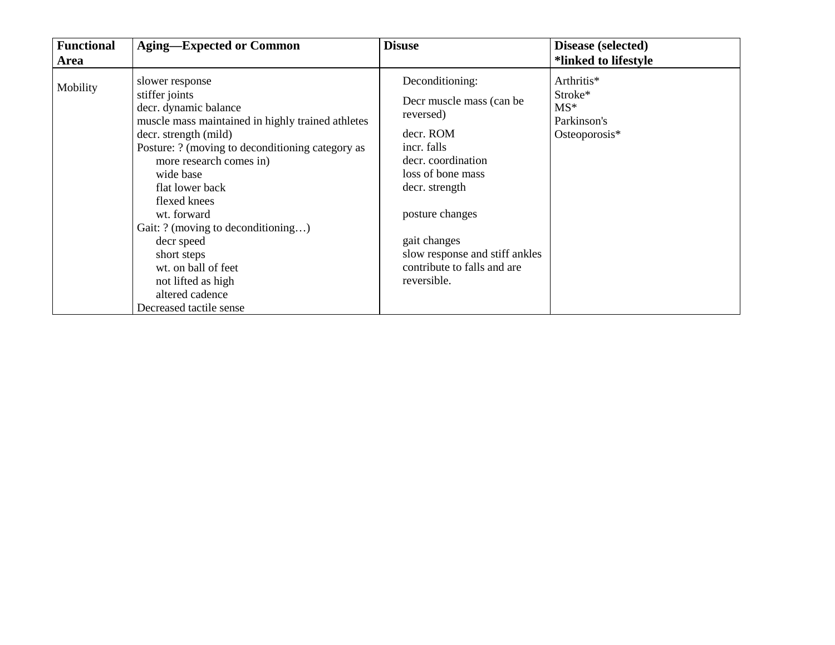| <b>Functional</b> | <b>Aging-Expected or Common</b>                                                                                                                                                                                                                                                                                                                                                                                                                      | <b>Disuse</b>                                                                                                                                                                                                                                                        | Disease (selected)                                             |
|-------------------|------------------------------------------------------------------------------------------------------------------------------------------------------------------------------------------------------------------------------------------------------------------------------------------------------------------------------------------------------------------------------------------------------------------------------------------------------|----------------------------------------------------------------------------------------------------------------------------------------------------------------------------------------------------------------------------------------------------------------------|----------------------------------------------------------------|
| <b>Area</b>       |                                                                                                                                                                                                                                                                                                                                                                                                                                                      |                                                                                                                                                                                                                                                                      | *linked to lifestyle                                           |
| Mobility          | slower response<br>stiffer joints<br>decr. dynamic balance<br>muscle mass maintained in highly trained athletes<br>decr. strength (mild)<br>Posture: ? (moving to deconditioning category as<br>more research comes in)<br>wide base<br>flat lower back<br>flexed knees<br>wt. forward<br>Gait: ? (moving to deconditioning)<br>decr speed<br>short steps<br>wt. on ball of feet<br>not lifted as high<br>altered cadence<br>Decreased tactile sense | Deconditioning:<br>Decr muscle mass (can be<br>reversed)<br>decr. ROM<br>incr. falls<br>decr. coordination<br>loss of bone mass<br>decr. strength<br>posture changes<br>gait changes<br>slow response and stiff ankles<br>contribute to falls and are<br>reversible. | Arthritis*<br>Stroke*<br>$MS*$<br>Parkinson's<br>Osteoporosis* |
|                   |                                                                                                                                                                                                                                                                                                                                                                                                                                                      |                                                                                                                                                                                                                                                                      |                                                                |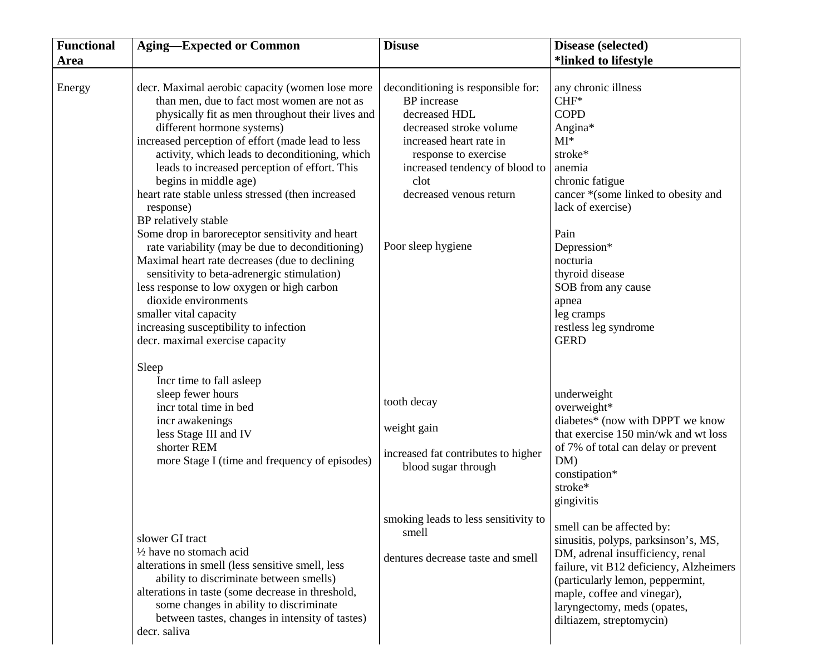| <b>Functional</b> | <b>Aging-Expected or Common</b>                                                                                                                                                                                                                                                                                                                                                                                                                                                                                                                                                                                                                                                                                                                                                                                                                 | <b>Disuse</b>                                                                                                                                                                                                                               | Disease (selected)                                                                                                                                                                                                                                                                                               |
|-------------------|-------------------------------------------------------------------------------------------------------------------------------------------------------------------------------------------------------------------------------------------------------------------------------------------------------------------------------------------------------------------------------------------------------------------------------------------------------------------------------------------------------------------------------------------------------------------------------------------------------------------------------------------------------------------------------------------------------------------------------------------------------------------------------------------------------------------------------------------------|---------------------------------------------------------------------------------------------------------------------------------------------------------------------------------------------------------------------------------------------|------------------------------------------------------------------------------------------------------------------------------------------------------------------------------------------------------------------------------------------------------------------------------------------------------------------|
| Area              |                                                                                                                                                                                                                                                                                                                                                                                                                                                                                                                                                                                                                                                                                                                                                                                                                                                 |                                                                                                                                                                                                                                             | *linked to lifestyle                                                                                                                                                                                                                                                                                             |
| Energy            | decr. Maximal aerobic capacity (women lose more<br>than men, due to fact most women are not as<br>physically fit as men throughout their lives and<br>different hormone systems)<br>increased perception of effort (made lead to less<br>activity, which leads to deconditioning, which<br>leads to increased perception of effort. This<br>begins in middle age)<br>heart rate stable unless stressed (then increased<br>response)<br>BP relatively stable<br>Some drop in baroreceptor sensitivity and heart<br>rate variability (may be due to deconditioning)<br>Maximal heart rate decreases (due to declining<br>sensitivity to beta-adrenergic stimulation)<br>less response to low oxygen or high carbon<br>dioxide environments<br>smaller vital capacity<br>increasing susceptibility to infection<br>decr. maximal exercise capacity | deconditioning is responsible for:<br>BP increase<br>decreased HDL<br>decreased stroke volume<br>increased heart rate in<br>response to exercise<br>increased tendency of blood to<br>clot<br>decreased venous return<br>Poor sleep hygiene | any chronic illness<br>$CHF*$<br><b>COPD</b><br>Angina*<br>$MI^*$<br>stroke*<br>anemia<br>chronic fatigue<br>cancer *(some linked to obesity and<br>lack of exercise)<br>Pain<br>Depression*<br>nocturia<br>thyroid disease<br>SOB from any cause<br>apnea<br>leg cramps<br>restless leg syndrome<br><b>GERD</b> |
|                   | Sleep<br>Incr time to fall asleep<br>sleep fewer hours<br>incr total time in bed<br>incr awakenings<br>less Stage III and IV<br>shorter REM<br>more Stage I (time and frequency of episodes)                                                                                                                                                                                                                                                                                                                                                                                                                                                                                                                                                                                                                                                    | tooth decay<br>weight gain<br>increased fat contributes to higher<br>blood sugar through                                                                                                                                                    | underweight<br>overweight*<br>diabetes* (now with DPPT we know<br>that exercise 150 min/wk and wt loss<br>of 7% of total can delay or prevent<br>DM)<br>constipation*<br>stroke*<br>gingivitis                                                                                                                   |
|                   | slower GI tract<br>$\frac{1}{2}$ have no stomach acid<br>alterations in smell (less sensitive smell, less<br>ability to discriminate between smells)<br>alterations in taste (some decrease in threshold,<br>some changes in ability to discriminate<br>between tastes, changes in intensity of tastes)<br>decr. saliva                                                                                                                                                                                                                                                                                                                                                                                                                                                                                                                         | smoking leads to less sensitivity to<br>smell<br>dentures decrease taste and smell                                                                                                                                                          | smell can be affected by:<br>sinusitis, polyps, parksinson's, MS,<br>DM, adrenal insufficiency, renal<br>failure, vit B12 deficiency, Alzheimers<br>(particularly lemon, peppermint,<br>maple, coffee and vinegar),<br>laryngectomy, meds (opates,<br>diltiazem, streptomycin)                                   |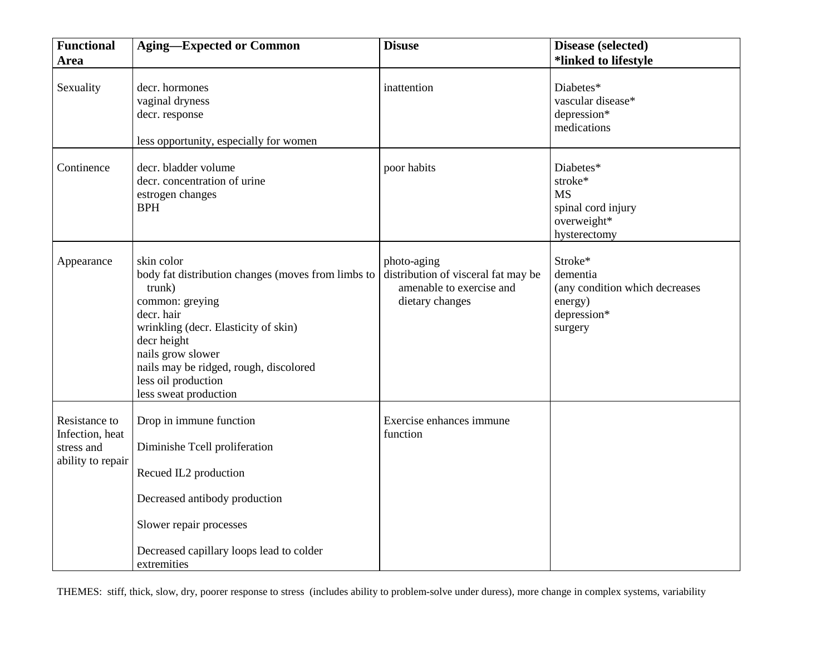| <b>Functional</b>                                                   | <b>Aging-Expected or Common</b>                                                                                                                                                                                                                                                   | <b>Disuse</b>                                                                                     | Disease (selected)                                                                         |
|---------------------------------------------------------------------|-----------------------------------------------------------------------------------------------------------------------------------------------------------------------------------------------------------------------------------------------------------------------------------|---------------------------------------------------------------------------------------------------|--------------------------------------------------------------------------------------------|
| <b>Area</b>                                                         |                                                                                                                                                                                                                                                                                   |                                                                                                   | *linked to lifestyle                                                                       |
| Sexuality                                                           | decr. hormones<br>vaginal dryness<br>decr. response<br>less opportunity, especially for women                                                                                                                                                                                     | inattention                                                                                       | Diabetes*<br>vascular disease*<br>depression*<br>medications                               |
| Continence                                                          | decr. bladder volume<br>decr. concentration of urine<br>estrogen changes<br><b>BPH</b>                                                                                                                                                                                            | poor habits                                                                                       | Diabetes*<br>stroke*<br><b>MS</b><br>spinal cord injury<br>overweight*<br>hysterectomy     |
| Appearance                                                          | skin color<br>body fat distribution changes (moves from limbs to<br>trunk)<br>common: greying<br>decr. hair<br>wrinkling (decr. Elasticity of skin)<br>decr height<br>nails grow slower<br>nails may be ridged, rough, discolored<br>less oil production<br>less sweat production | photo-aging<br>distribution of visceral fat may be<br>amenable to exercise and<br>dietary changes | Stroke*<br>dementia<br>(any condition which decreases<br>energy)<br>depression*<br>surgery |
| Resistance to<br>Infection, heat<br>stress and<br>ability to repair | Drop in immune function<br>Diminishe Tcell proliferation<br>Recued IL2 production<br>Decreased antibody production<br>Slower repair processes<br>Decreased capillary loops lead to colder<br>extremities                                                                          | Exercise enhances immune<br>function                                                              |                                                                                            |

THEMES: stiff, thick, slow, dry, poorer response to stress (includes ability to problem-solve under duress), more change in complex systems, variability